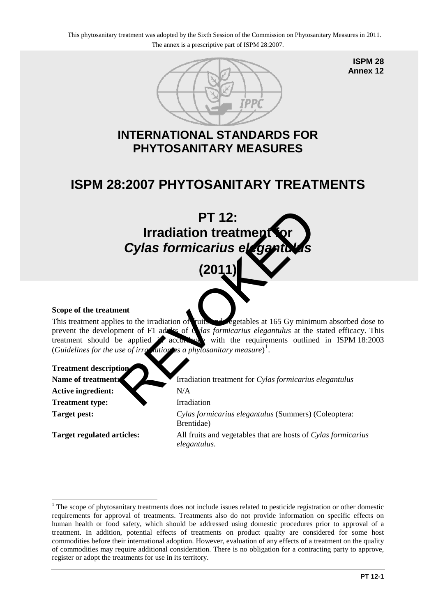

**ISPM 28 Annex 12**

### **INTERNATIONAL STANDARDS FOR PHYTOSANITARY MEASURES**

## **ISPM 28:2007 PHYTOSANITARY TREATMENTS**

# **PT 12: Irradiation treatment Cylas formicarius elega (2011)**  PT 12:<br>
Irradiation treatment<br>
Cylas formicarius elegant<br>
(2011)<br>
ent<br>
es to the irradiation of<br>
time of F1 addis of<br>
the second with the requirements outlines<br>
se of irradiation sa phytosanitary measure)<sup>1</sup>.<br>
Ion<br>
Irradia

### **Scope of the treatment**

This treatment applies to the irradiation of fruits and vegetables at 165 Gy minimum absorbed dose to prevent the development of F1 adults of *Cylas formicarius elegantulus* at the stated efficacy. This treatment should be applied  $\angle$  accordance with the requirements outlined in ISPM 18:2003 (*Guidelines for the use of irradiation as a phytosanitary measure*) 1 .

# **Treatment description**

Active ingredient: N/A **Treatment type:** Irradiation

<u>.</u>

Name of treatment: **IFR** Irradiation treatment for *Cylas formicarius elegantulus* **Target pest:** *Cylas formicarius elegantulus* (Summers) (Coleoptera: Brentidae) **Target regulated articles:** All fruits and vegetables that are hosts of *Cylas formicarius elegantulus*.

<span id="page-0-0"></span><sup>&</sup>lt;sup>1</sup> The scope of phytosanitary treatments does not include issues related to pesticide registration or other domestic requirements for approval of treatments. Treatments also do not provide information on specific effects on human health or food safety, which should be addressed using domestic procedures prior to approval of a treatment. In addition, potential effects of treatments on product quality are considered for some host commodities before their international adoption. However, evaluation of any effects of a treatment on the quality of commodities may require additional consideration. There is no obligation for a contracting party to approve, register or adopt the treatments for use in its territory.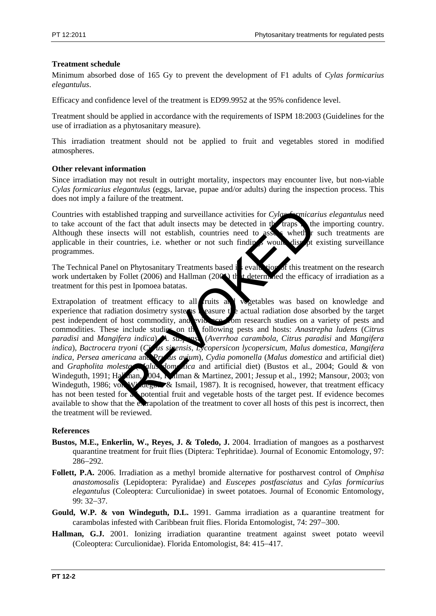### **Treatment schedule**

Minimum absorbed dose of 165 Gy to prevent the development of F1 adults of *Cylas formicarius elegantulus*.

Efficacy and confidence level of the treatment is ED99.9952 at the 95% confidence level.

Treatment should be applied in accordance with the requirements of ISPM 18:2003 (Guidelines for the use of irradiation as a phytosanitary measure).

This irradiation treatment should not be applied to fruit and vegetables stored in modified atmospheres.

### **Other relevant information**

Since irradiation may not result in outright mortality, inspectors may encounter live, but non-viable *Cylas formicarius elegantulus* (eggs, larvae, pupae and/or adults) during the inspection process. This does not imply a failure of the treatment.

Countries with established trapping and surveillance activities for *Cylas formicarius elegantulus* need to take account of the fact that adult insects may be detected in the traps the importing country.<br>Although these insects will not establish, countries need to asset wheth r such treatments are Although these insects will not establish, countries need to assess when the such that applicable in their countries, i.e. whether or not such finding would disrupt existing surveillance programmes.

The Technical Panel on Phytosanitary Treatments based is evaluation of this treatment on the research work undertaken by Follet (2006) and Hallman (200 $\triangle$ ) the Letermined the efficacy of irradiation as a work undertaken by Follet (2006) and Hallman (2006) the theoremined the efficacy of irradiation as a treatment for this pest in Ipomoea batatas.

Extrapolation of treatment efficacy to all fruits and vegetables was based on knowledge and experience that radiation dosimetry systems measure the actual radiation dose absorbed by the target pest independent of host commodity, and wide see commos research studies on a variety of pests and perioding  $\epsilon$  commodities commodities on a variety of pests and commodities. These include studies on the following pests and hosts: *Anastrepha ludens* (*Citrus paradisi* and *Mangifera indica*), *A. suspensa* (*Averrhoa carambola*, *Citrus paradisi* and *Mangifera indica*), *Bactrocera tryoni* (*Citrus sinensis*, *Lycopersicon lycopersicum*, *Malus domestica*, *Mangifera indica*, *Persea americana* and *Prunus avium*), *Cydia pomonella* (*Malus domestica* and artificial diet) and *Grapholita molesta* (*Malus domestica* and artificial diet) (Bustos et al., 2004; Gould & von Windeguth, 1991; Hallman, 2004, Hallman & Martinez, 2001; Jessup et al., 1992; Mansour, 2003; von Windeguth, 1986; von Windeguth & Ismail, 1987). It is recognised, however, that treatment efficacy has not been tested for all potential fruit and vegetable hosts of the target pest. If evidence becomes available to show that the extrapolation of the treatment to cover all hosts of this pest is incorrect, then the treatment will be reviewed. dished trapping and surveillance activities for Cylor Comicar<br>he fact that adult insects may be detected in the traps<br>cets will not establish, countries need to assess wheth<br>countries, i.e. whether or not such finding woul

### **References**

- **Bustos, M.E., Enkerlin, W., Reyes, J. & Toledo, J.** 2004. Irradiation of mangoes as a postharvest quarantine treatment for fruit flies (Diptera: Tephritidae). Journal of Economic Entomology, 97: 286−292.
- **Follett, P.A.** 2006. Irradiation as a methyl bromide alternative for postharvest control of *Omphisa anastomosalis* (Lepidoptera: Pyralidae) and *Euscepes postfasciatus* and *Cylas formicarius elegantulus* (Coleoptera: Curculionidae) in sweet potatoes. Journal of Economic Entomology, 99: 32−37.
- **Gould, W.P. & von Windeguth, D.L.** 1991. Gamma irradiation as a quarantine treatment for carambolas infested with Caribbean fruit flies. Florida Entomologist, 74: 297−300.
- **Hallman, G.J.** 2001. Ionizing irradiation quarantine treatment against sweet potato weevil (Coleoptera: Curculionidae). Florida Entomologist, 84: 415−417.